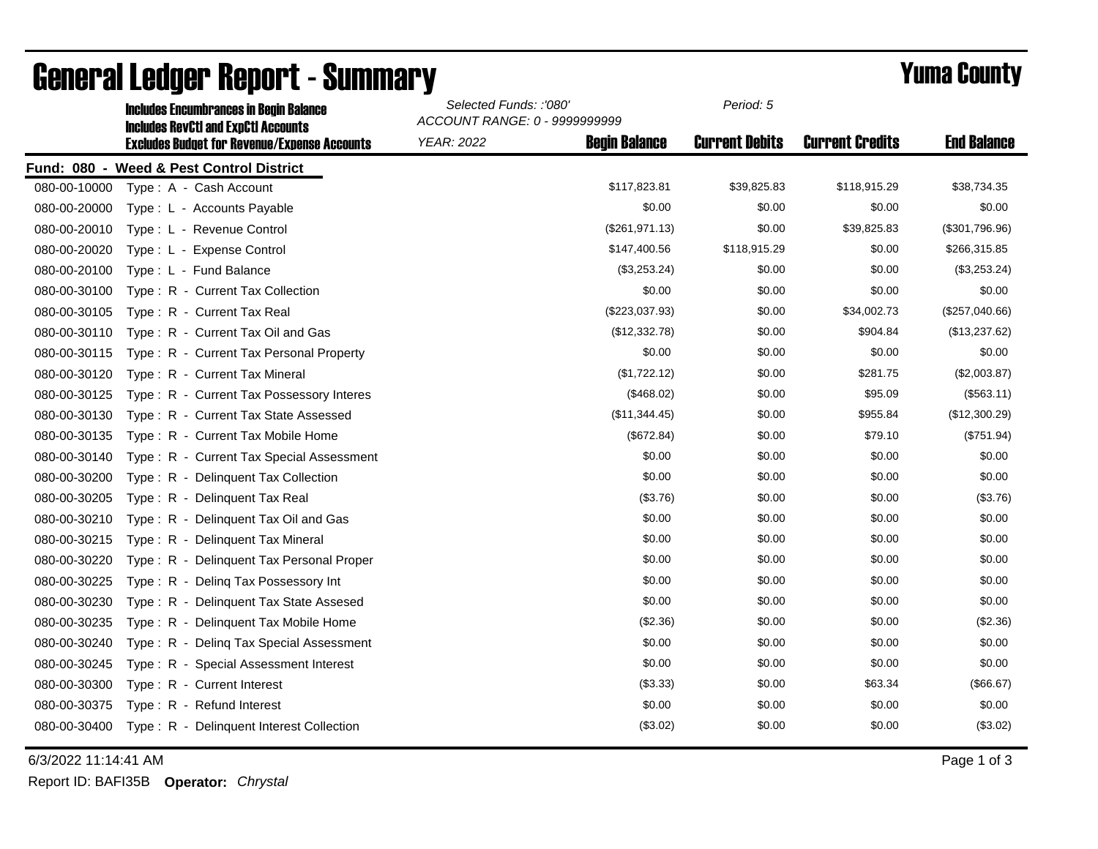|              | <b>Includes Encumbrances in Begin Balance</b><br><b>Includes RevCtI and ExpCtI Accounts</b><br><b>Excludes Budget for Revenue/Expense Accounts</b> | Selected Funds: :'080'<br>ACCOUNT RANGE: 0 - 9999999999 |                      | Period: 5             |                        |                    |
|--------------|----------------------------------------------------------------------------------------------------------------------------------------------------|---------------------------------------------------------|----------------------|-----------------------|------------------------|--------------------|
|              |                                                                                                                                                    | <b>YEAR: 2022</b>                                       | <b>Begin Balance</b> | <b>Current Debits</b> | <b>Current Credits</b> | <b>End Balance</b> |
|              | Fund: 080 - Weed & Pest Control District                                                                                                           |                                                         |                      |                       |                        |                    |
| 080-00-10000 | Type: A - Cash Account                                                                                                                             |                                                         | \$117,823.81         | \$39,825.83           | \$118,915.29           | \$38,734.35        |
| 080-00-20000 | Type: L - Accounts Payable                                                                                                                         |                                                         | \$0.00               | \$0.00                | \$0.00                 | \$0.00             |
| 080-00-20010 | Type: L - Revenue Control                                                                                                                          |                                                         | (\$261,971.13)       | \$0.00                | \$39,825.83            | (\$301,796.96)     |
| 080-00-20020 | Type: L - Expense Control                                                                                                                          |                                                         | \$147,400.56         | \$118,915.29          | \$0.00                 | \$266,315.85       |
| 080-00-20100 | Type: L - Fund Balance                                                                                                                             |                                                         | (\$3,253.24)         | \$0.00                | \$0.00                 | (\$3,253.24)       |
| 080-00-30100 | Type: R - Current Tax Collection                                                                                                                   |                                                         | \$0.00               | \$0.00                | \$0.00                 | \$0.00             |
| 080-00-30105 | Type: R - Current Tax Real                                                                                                                         |                                                         | (\$223,037.93)       | \$0.00                | \$34,002.73            | (\$257,040.66)     |
| 080-00-30110 | Type: R - Current Tax Oil and Gas                                                                                                                  |                                                         | (\$12,332.78)        | \$0.00                | \$904.84               | (\$13,237.62)      |
| 080-00-30115 | Type: R - Current Tax Personal Property                                                                                                            |                                                         | \$0.00               | \$0.00                | \$0.00                 | \$0.00             |
| 080-00-30120 | Type: R - Current Tax Mineral                                                                                                                      |                                                         | (\$1,722.12)         | \$0.00                | \$281.75               | (\$2,003.87)       |
| 080-00-30125 | Type: R - Current Tax Possessory Interes                                                                                                           |                                                         | (\$468.02)           | \$0.00                | \$95.09                | (\$563.11)         |
| 080-00-30130 | Type: R - Current Tax State Assessed                                                                                                               |                                                         | (\$11,344.45)        | \$0.00                | \$955.84               | (\$12,300.29)      |
| 080-00-30135 | Type: R - Current Tax Mobile Home                                                                                                                  |                                                         | (\$672.84)           | \$0.00                | \$79.10                | (\$751.94)         |
| 080-00-30140 | Type: R - Current Tax Special Assessment                                                                                                           |                                                         | \$0.00               | \$0.00                | \$0.00                 | \$0.00             |
| 080-00-30200 | Type: R - Delinquent Tax Collection                                                                                                                |                                                         | \$0.00               | \$0.00                | \$0.00                 | \$0.00             |
| 080-00-30205 | Type: R - Delinquent Tax Real                                                                                                                      |                                                         | (\$3.76)             | \$0.00                | \$0.00                 | (\$3.76)           |
| 080-00-30210 | Type: R - Delinquent Tax Oil and Gas                                                                                                               |                                                         | \$0.00               | \$0.00                | \$0.00                 | \$0.00             |
| 080-00-30215 | Type: R - Delinquent Tax Mineral                                                                                                                   |                                                         | \$0.00               | \$0.00                | \$0.00                 | \$0.00             |
| 080-00-30220 | Type: R - Delinguent Tax Personal Proper                                                                                                           |                                                         | \$0.00               | \$0.00                | \$0.00                 | \$0.00             |
| 080-00-30225 | Type: R - Deling Tax Possessory Int                                                                                                                |                                                         | \$0.00               | \$0.00                | \$0.00                 | \$0.00             |
| 080-00-30230 | Type: R - Delinguent Tax State Assesed                                                                                                             |                                                         | \$0.00               | \$0.00                | \$0.00                 | \$0.00             |
| 080-00-30235 | Type: R - Delinquent Tax Mobile Home                                                                                                               |                                                         | (\$2.36)             | \$0.00                | \$0.00                 | (\$2.36)           |
| 080-00-30240 | Type: R - Deling Tax Special Assessment                                                                                                            |                                                         | \$0.00               | \$0.00                | \$0.00                 | \$0.00             |
| 080-00-30245 | Type: R - Special Assessment Interest                                                                                                              |                                                         | \$0.00               | \$0.00                | \$0.00                 | \$0.00             |
| 080-00-30300 | Type: R - Current Interest                                                                                                                         |                                                         | (\$3.33)             | \$0.00                | \$63.34                | (\$66.67)          |
| 080-00-30375 | Type: R - Refund Interest                                                                                                                          |                                                         | \$0.00               | \$0.00                | \$0.00                 | \$0.00             |
| 080-00-30400 | Type: R - Delinquent Interest Collection                                                                                                           |                                                         | (\$3.02)             | \$0.00                | \$0.00                 | (\$3.02)           |

## General Ledger Report - Summary **Example 2018** Yuma County

6/3/2022 11:14:41 AM Page 1 of 3

Report ID: BAFI35B **Operator:** *Chrystal*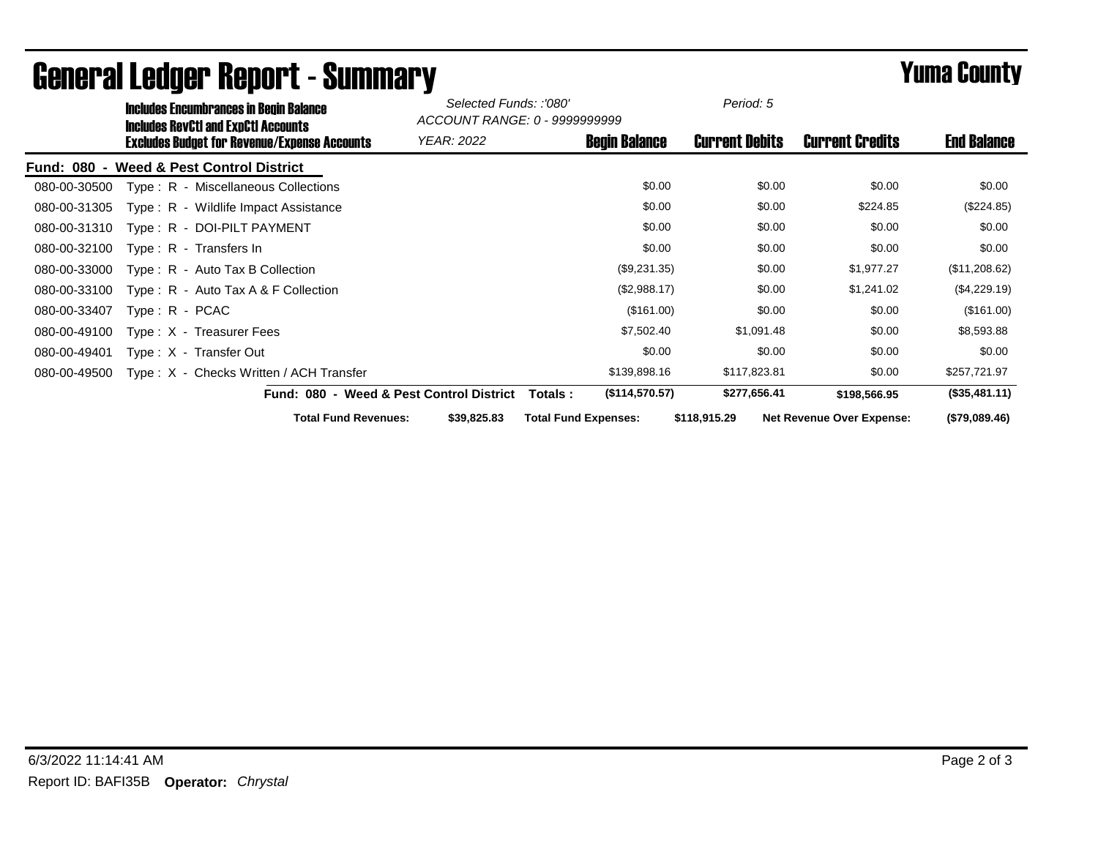| <b>Includes Encumbrances in Begin Balance</b>                                                     |                                          | Selected Funds: :'080'<br>ACCOUNT RANGE: 0 - 9999999999 |                             | Period: 5             |                                  |                    |
|---------------------------------------------------------------------------------------------------|------------------------------------------|---------------------------------------------------------|-----------------------------|-----------------------|----------------------------------|--------------------|
| <b>Includes RevCtI and ExpCtI Accounts</b><br><b>Excludes Budget for Revenue/Expense Accounts</b> |                                          | <b>YEAR: 2022</b>                                       | <b>Begin Balance</b>        | <b>Current Debits</b> | <b>Current Credits</b>           | <b>End Balance</b> |
| Fund: 080 - Weed & Pest Control District                                                          |                                          |                                                         |                             |                       |                                  |                    |
| Type: R - Miscellaneous Collections<br>080-00-30500                                               |                                          |                                                         | \$0.00                      | \$0.00                | \$0.00                           | \$0.00             |
| Type: R - Wildlife Impact Assistance<br>080-00-31305                                              |                                          |                                                         | \$0.00                      | \$0.00                | \$224.85                         | $(\$224.85)$       |
| Type: R - DOI-PILT PAYMENT<br>080-00-31310                                                        |                                          |                                                         | \$0.00                      | \$0.00                | \$0.00                           | \$0.00             |
| 080-00-32100<br>Type: $R -$ Transfers In                                                          |                                          |                                                         | \$0.00                      | \$0.00                | \$0.00                           | \$0.00             |
| 080-00-33000<br>Type: R - Auto Tax B Collection                                                   |                                          |                                                         | (\$9,231.35)                | \$0.00                | \$1,977.27                       | (\$11,208.62)      |
| Type: $R -$ Auto Tax A & F Collection<br>080-00-33100                                             |                                          |                                                         | (\$2,988.17)                | \$0.00                | \$1,241.02                       | (\$4,229.19)       |
| 080-00-33407<br>$Type: R - PCAC$                                                                  |                                          |                                                         | (\$161.00)                  | \$0.00                | \$0.00                           | (\$161.00)         |
| 080-00-49100<br>Type: X - Treasurer Fees                                                          |                                          |                                                         | \$7,502.40                  | \$1,091.48            | \$0.00                           | \$8,593.88         |
| 080-00-49401<br>Type: X - Transfer Out                                                            |                                          |                                                         | \$0.00                      | \$0.00                | \$0.00                           | \$0.00             |
| Type: X - Checks Written / ACH Transfer<br>080-00-49500                                           |                                          |                                                         | \$139,898.16                | \$117,823.81          | \$0.00                           | \$257,721.97       |
|                                                                                                   | Fund: 080 - Weed & Pest Control District | Totals :                                                | (\$114,570.57)              | \$277,656.41          | \$198,566.95                     | (\$35,481.11)      |
|                                                                                                   | <b>Total Fund Revenues:</b>              | \$39,825.83                                             | <b>Total Fund Expenses:</b> | \$118,915.29          | <b>Net Revenue Over Expense:</b> | (\$79,089.46)      |

## General Ledger Report - Summary **Example 2018** Yuma County